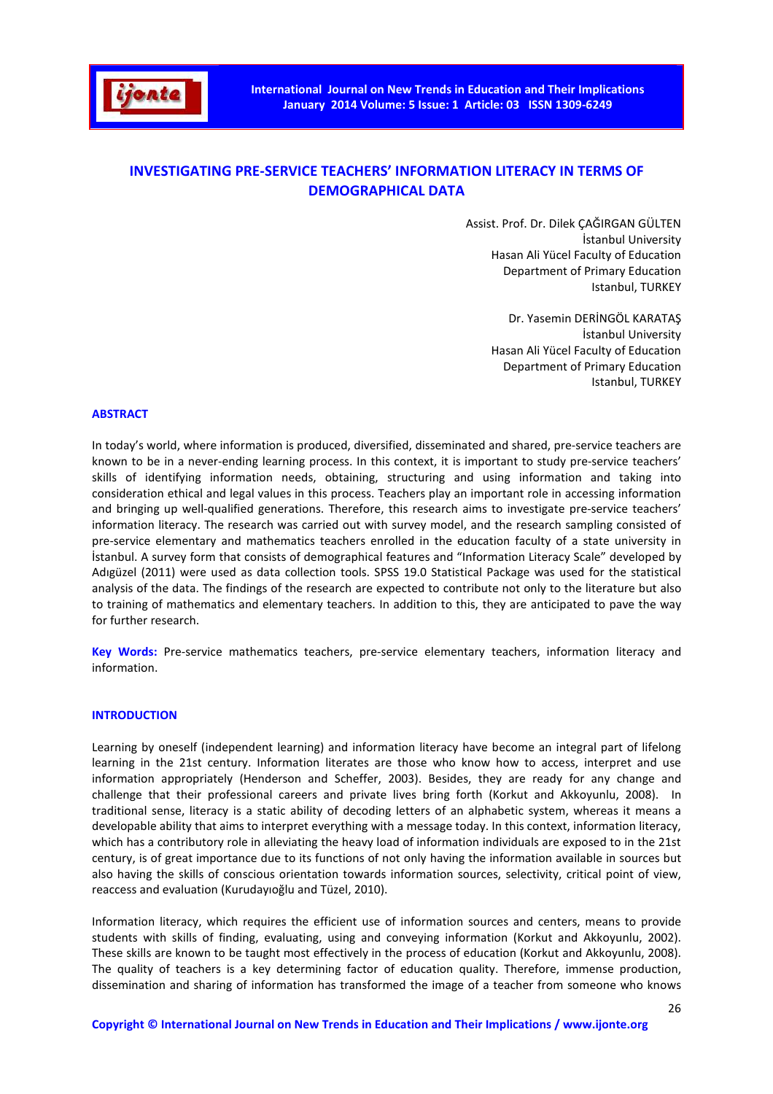

# **INVESTIGATING PRE-SERVICE TEACHERS' INFORMATION LITERACY IN TERMS OF DEMOGRAPHICAL DATA**

 Assist. Prof. Dr. Dilek ÇAĞIRGAN GÜLTEN İstanbul University Hasan Ali Yücel Faculty of Education Department of Primary Education Istanbul, TURKEY

> Dr. Yasemin DERİNGÖL KARATAŞ İstanbul University Hasan Ali Yücel Faculty of Education Department of Primary Education Istanbul, TURKEY

#### **ABSTRACT**

In today's world, where information is produced, diversified, disseminated and shared, pre-service teachers are known to be in a never-ending learning process. In this context, it is important to study pre-service teachers' skills of identifying information needs, obtaining, structuring and using information and taking into consideration ethical and legal values in this process. Teachers play an important role in accessing information and bringing up well-qualified generations. Therefore, this research aims to investigate pre-service teachers' information literacy. The research was carried out with survey model, and the research sampling consisted of pre-service elementary and mathematics teachers enrolled in the education faculty of a state university in İstanbul. A survey form that consists of demographical features and "Information Literacy Scale" developed by Adıgüzel (2011) were used as data collection tools. SPSS 19.0 Statistical Package was used for the statistical analysis of the data. The findings of the research are expected to contribute not only to the literature but also to training of mathematics and elementary teachers. In addition to this, they are anticipated to pave the way for further research.

**Key Words:** Pre-service mathematics teachers, pre-service elementary teachers, information literacy and information.

#### **INTRODUCTION**

Learning by oneself (independent learning) and information literacy have become an integral part of lifelong learning in the 21st century. Information literates are those who know how to access, interpret and use information appropriately (Henderson and Scheffer, 2003). Besides, they are ready for any change and challenge that their professional careers and private lives bring forth (Korkut and Akkoyunlu, 2008). In traditional sense, literacy is a static ability of decoding letters of an alphabetic system, whereas it means a developable ability that aims to interpret everything with a message today. In this context, information literacy, which has a contributory role in alleviating the heavy load of information individuals are exposed to in the 21st century, is of great importance due to its functions of not only having the information available in sources but also having the skills of conscious orientation towards information sources, selectivity, critical point of view, reaccess and evaluation (Kurudayıoğlu and Tüzel, 2010).

Information literacy, which requires the efficient use of information sources and centers, means to provide students with skills of finding, evaluating, using and conveying information (Korkut and Akkoyunlu, 2002). These skills are known to be taught most effectively in the process of education (Korkut and Akkoyunlu, 2008). The quality of teachers is a key determining factor of education quality. Therefore, immense production, dissemination and sharing of information has transformed the image of a teacher from someone who knows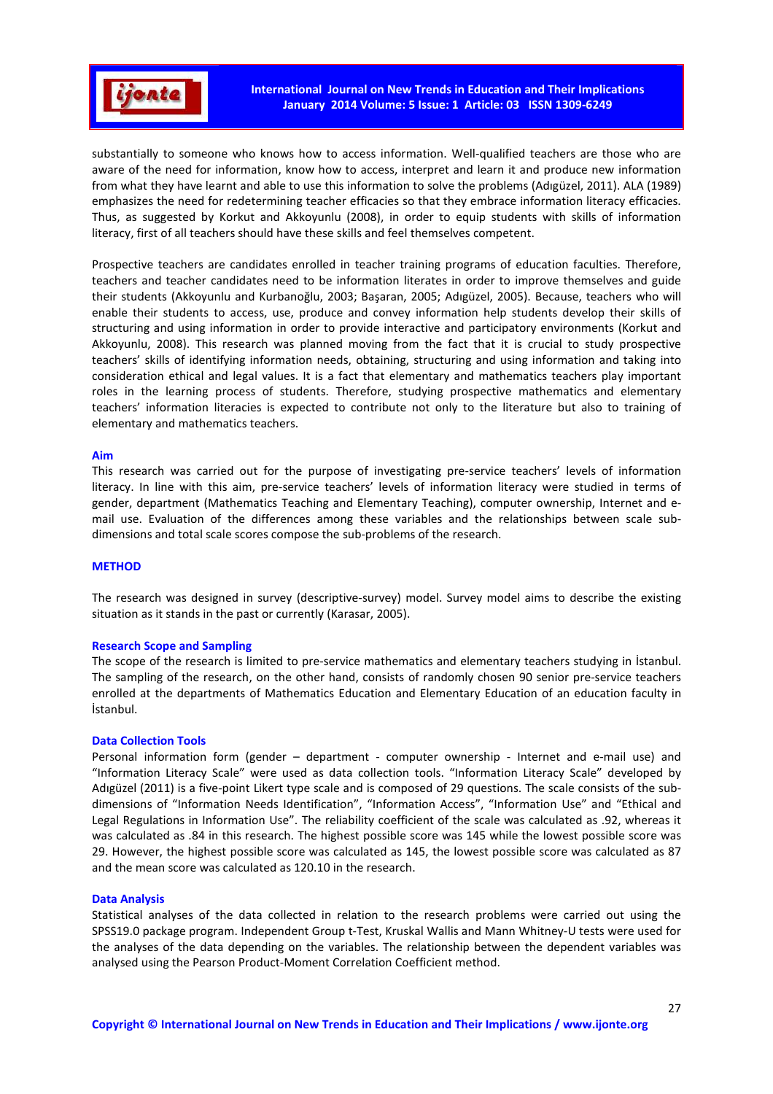

substantially to someone who knows how to access information. Well-qualified teachers are those who are aware of the need for information, know how to access, interpret and learn it and produce new information from what they have learnt and able to use this information to solve the problems (Adıgüzel, 2011). ALA (1989) emphasizes the need for redetermining teacher efficacies so that they embrace information literacy efficacies. Thus, as suggested by Korkut and Akkoyunlu (2008), in order to equip students with skills of information literacy, first of all teachers should have these skills and feel themselves competent.

Prospective teachers are candidates enrolled in teacher training programs of education faculties. Therefore, teachers and teacher candidates need to be information literates in order to improve themselves and guide their students (Akkoyunlu and Kurbanoğlu, 2003; Başaran, 2005; Adıgüzel, 2005). Because, teachers who will enable their students to access, use, produce and convey information help students develop their skills of structuring and using information in order to provide interactive and participatory environments (Korkut and Akkoyunlu, 2008). This research was planned moving from the fact that it is crucial to study prospective teachers' skills of identifying information needs, obtaining, structuring and using information and taking into consideration ethical and legal values. It is a fact that elementary and mathematics teachers play important roles in the learning process of students. Therefore, studying prospective mathematics and elementary teachers' information literacies is expected to contribute not only to the literature but also to training of elementary and mathematics teachers.

#### **Aim**

This research was carried out for the purpose of investigating pre-service teachers' levels of information literacy. In line with this aim, pre-service teachers' levels of information literacy were studied in terms of gender, department (Mathematics Teaching and Elementary Teaching), computer ownership, Internet and email use. Evaluation of the differences among these variables and the relationships between scale subdimensions and total scale scores compose the sub-problems of the research.

## **METHOD**

The research was designed in survey (descriptive-survey) model. Survey model aims to describe the existing situation as it stands in the past or currently (Karasar, 2005).

#### **Research Scope and Sampling**

The scope of the research is limited to pre-service mathematics and elementary teachers studying in İstanbul. The sampling of the research, on the other hand, consists of randomly chosen 90 senior pre-service teachers enrolled at the departments of Mathematics Education and Elementary Education of an education faculty in İstanbul.

#### **Data Collection Tools**

Personal information form (gender – department - computer ownership - Internet and e-mail use) and "Information Literacy Scale" were used as data collection tools. "Information Literacy Scale" developed by Adıgüzel (2011) is a five-point Likert type scale and is composed of 29 questions. The scale consists of the subdimensions of "Information Needs Identification", "Information Access", "Information Use" and "Ethical and Legal Regulations in Information Use". The reliability coefficient of the scale was calculated as .92, whereas it was calculated as .84 in this research. The highest possible score was 145 while the lowest possible score was 29. However, the highest possible score was calculated as 145, the lowest possible score was calculated as 87 and the mean score was calculated as 120.10 in the research.

#### **Data Analysis**

Statistical analyses of the data collected in relation to the research problems were carried out using the SPSS19.0 package program. Independent Group t-Test, Kruskal Wallis and Mann Whitney-U tests were used for the analyses of the data depending on the variables. The relationship between the dependent variables was analysed using the Pearson Product-Moment Correlation Coefficient method.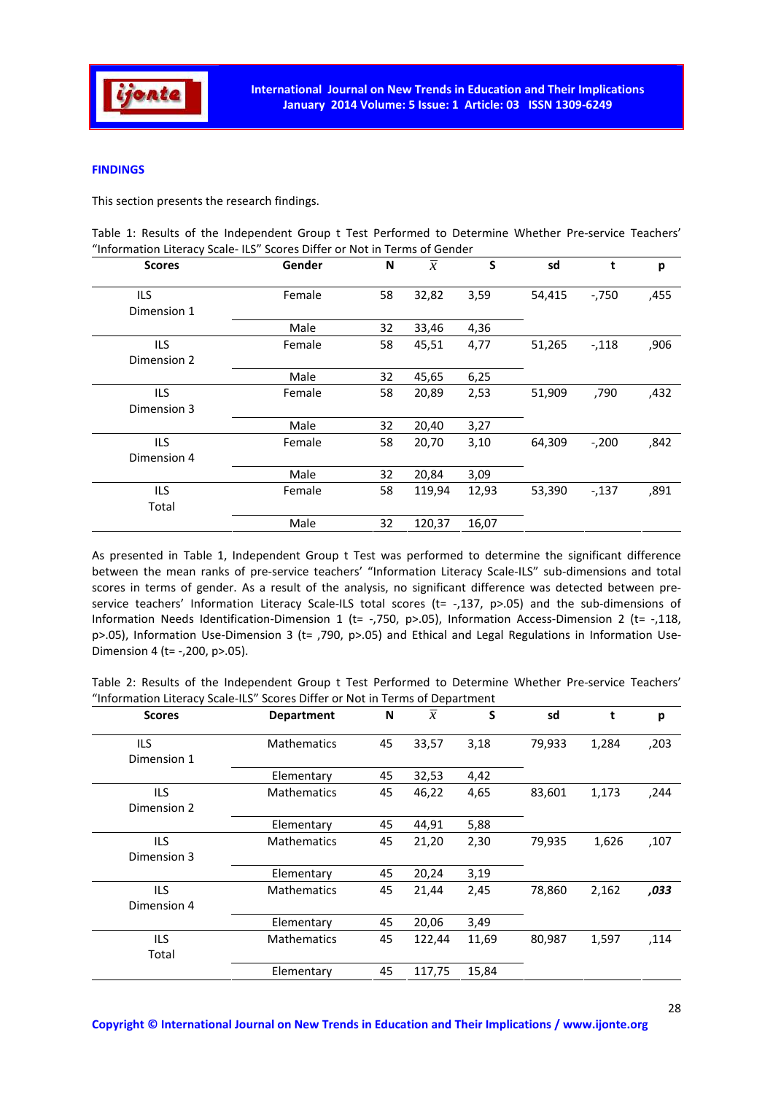

## **FINDINGS**

This section presents the research findings.

| Table 1: Results of the Independent Group t Test Performed to Determine Whether Pre-service Teachers' |  |  |  |  |
|-------------------------------------------------------------------------------------------------------|--|--|--|--|
| "Information Literacy Scale- ILS" Scores Differ or Not in Terms of Gender                             |  |  |  |  |

| <b>Scores</b> | Gender | N  | $\overline{x}$ | S     | sd     | t       | p    |
|---------------|--------|----|----------------|-------|--------|---------|------|
| ILS.          | Female | 58 | 32,82          | 3,59  | 54,415 | $-750$  | ,455 |
| Dimension 1   |        |    |                |       |        |         |      |
|               | Male   | 32 | 33,46          | 4,36  |        |         |      |
| ILS.          | Female | 58 | 45,51          | 4,77  | 51,265 | $-118$  | ,906 |
| Dimension 2   |        |    |                |       |        |         |      |
|               | Male   | 32 | 45,65          | 6,25  |        |         |      |
| ILS.          | Female | 58 | 20,89          | 2,53  | 51,909 | ,790    | ,432 |
| Dimension 3   |        |    |                |       |        |         |      |
|               | Male   | 32 | 20,40          | 3,27  |        |         |      |
| ILS.          | Female | 58 | 20,70          | 3,10  | 64,309 | $-.200$ | ,842 |
| Dimension 4   |        |    |                |       |        |         |      |
|               | Male   | 32 | 20,84          | 3,09  |        |         |      |
| ILS.          | Female | 58 | 119,94         | 12,93 | 53,390 | $-137$  | ,891 |
| Total         |        |    |                |       |        |         |      |
|               | Male   | 32 | 120,37         | 16,07 |        |         |      |
|               |        |    |                |       |        |         |      |

As presented in Table 1, Independent Group t Test was performed to determine the significant difference between the mean ranks of pre-service teachers' "Information Literacy Scale-ILS" sub-dimensions and total scores in terms of gender. As a result of the analysis, no significant difference was detected between preservice teachers' Information Literacy Scale-ILS total scores (t= -,137, p>.05) and the sub-dimensions of Information Needs Identification-Dimension 1 (t= -,750, p>.05), Information Access-Dimension 2 (t= -,118, p>.05), Information Use-Dimension 3 (t= ,790, p>.05) and Ethical and Legal Regulations in Information Use-Dimension 4 (t= -,200, p>.05).

| Table 2: Results of the Independent Group t Test Performed to Determine Whether Pre-service Teachers' |  |  |  |  |  |  |  |  |
|-------------------------------------------------------------------------------------------------------|--|--|--|--|--|--|--|--|
| "Information Literacy Scale-ILS" Scores Differ or Not in Terms of Department                          |  |  |  |  |  |  |  |  |

| <b>Scores</b> | <b>Department</b>  | N  | $\overline{x}$ | S     | sd     | t     | p    |
|---------------|--------------------|----|----------------|-------|--------|-------|------|
| ILS           | <b>Mathematics</b> | 45 | 33,57          | 3,18  | 79,933 | 1,284 | ,203 |
| Dimension 1   |                    |    |                |       |        |       |      |
|               | Elementary         | 45 | 32,53          | 4,42  |        |       |      |
| ILS.          | <b>Mathematics</b> | 45 | 46,22          | 4,65  | 83,601 | 1,173 | ,244 |
| Dimension 2   |                    |    |                |       |        |       |      |
|               | Elementary         | 45 | 44,91          | 5,88  |        |       |      |
| ILS.          | <b>Mathematics</b> | 45 | 21,20          | 2,30  | 79,935 | 1,626 | ,107 |
| Dimension 3   |                    |    |                |       |        |       |      |
|               | Elementary         | 45 | 20,24          | 3,19  |        |       |      |
| <b>ILS</b>    | <b>Mathematics</b> | 45 | 21,44          | 2,45  | 78,860 | 2,162 | ,033 |
| Dimension 4   |                    |    |                |       |        |       |      |
|               | Elementary         | 45 | 20,06          | 3,49  |        |       |      |
| ILS.          | <b>Mathematics</b> | 45 | 122,44         | 11,69 | 80,987 | 1,597 | ,114 |
| Total         |                    |    |                |       |        |       |      |
|               | Elementary         | 45 | 117,75         | 15,84 |        |       |      |
|               |                    |    |                |       |        |       |      |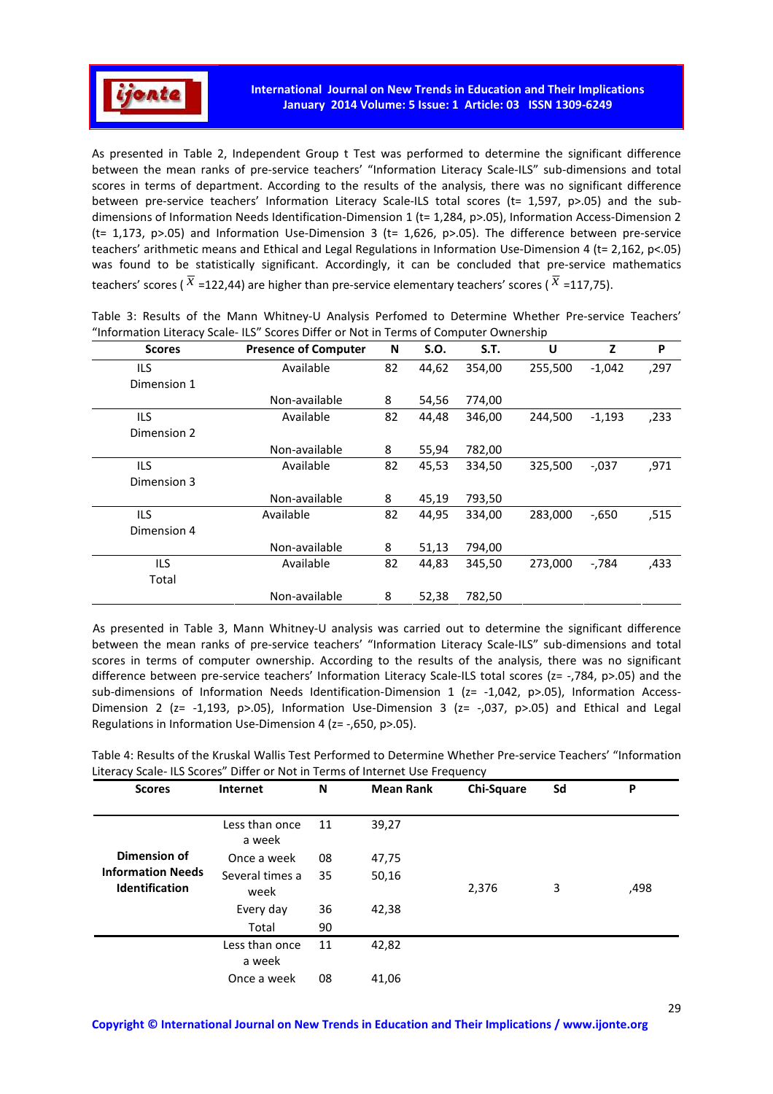

As presented in Table 2, Independent Group t Test was performed to determine the significant difference between the mean ranks of pre-service teachers' "Information Literacy Scale-ILS" sub-dimensions and total scores in terms of department. According to the results of the analysis, there was no significant difference between pre-service teachers' Information Literacy Scale-ILS total scores (t= 1,597, p>.05) and the subdimensions of Information Needs Identification-Dimension 1 (t= 1,284, p>.05), Information Access-Dimension 2 (t= 1,173, p>.05) and Information Use-Dimension 3 (t= 1,626, p>.05). The difference between pre-service teachers' arithmetic means and Ethical and Legal Regulations in Information Use-Dimension 4 (t= 2,162, p<.05) was found to be statistically significant. Accordingly, it can be concluded that pre-service mathematics teachers' scores ( $\bar{x}$  =122,44) are higher than pre-service elementary teachers' scores ( $\bar{x}$  =117,75).

| <b>Scores</b> | <b>Presence of Computer</b> | N  | S.O.  | <b>S.T.</b> | U       | Z        | P    |
|---------------|-----------------------------|----|-------|-------------|---------|----------|------|
| ILS           | Available                   | 82 | 44,62 | 354,00      | 255,500 | $-1,042$ | ,297 |
| Dimension 1   |                             |    |       |             |         |          |      |
|               | Non-available               | 8  | 54,56 | 774,00      |         |          |      |
| ILS           | Available                   | 82 | 44,48 | 346,00      | 244,500 | $-1,193$ | ,233 |
| Dimension 2   |                             |    |       |             |         |          |      |
|               | Non-available               | 8  | 55,94 | 782,00      |         |          |      |
| <b>ILS</b>    | Available                   |    | 45,53 | 334,50      | 325,500 | $-0.037$ | ,971 |
| Dimension 3   |                             |    |       |             |         |          |      |
|               | Non-available               | 8  | 45,19 | 793,50      |         |          |      |
| ILS           | Available                   | 82 | 44,95 | 334,00      | 283,000 | $-0.650$ | ,515 |
| Dimension 4   |                             |    |       |             |         |          |      |
|               | Non-available               | 8  | 51,13 | 794,00      |         |          |      |
| ILS.          | Available                   |    | 44,83 | 345,50      | 273,000 | $-784$   | ,433 |
| Total         |                             |    |       |             |         |          |      |
|               | Non-available               | 8  | 52,38 | 782,50      |         |          |      |

Table 3: Results of the Mann Whitney-U Analysis Perfomed to Determine Whether Pre-service Teachers' "Information Literacy Scale- ILS" Scores Differ or Not in Terms of Computer Ownership

As presented in Table 3, Mann Whitney-U analysis was carried out to determine the significant difference between the mean ranks of pre-service teachers' "Information Literacy Scale-ILS" sub-dimensions and total scores in terms of computer ownership. According to the results of the analysis, there was no significant difference between pre-service teachers' Information Literacy Scale-ILS total scores (z= -,784, p>.05) and the sub-dimensions of Information Needs Identification-Dimension 1 (z= -1,042, p>.05), Information Access-Dimension 2 (z= -1,193, p>.05), Information Use-Dimension 3 (z= -,037, p>.05) and Ethical and Legal Regulations in Information Use-Dimension 4 (z= -,650, p>.05).

| Table 4: Results of the Kruskal Wallis Test Performed to Determine Whether Pre-service Teachers' "Information |  |
|---------------------------------------------------------------------------------------------------------------|--|
| Literacy Scale-ILS Scores" Differ or Not in Terms of Internet Use Frequency                                   |  |

| <b>Scores</b>                                     | <b>Internet</b>          | N  | <b>Mean Rank</b> | Chi-Square | Sd | P    |
|---------------------------------------------------|--------------------------|----|------------------|------------|----|------|
|                                                   | Less than once<br>a week | 11 | 39,27            |            |    |      |
| Dimension of                                      | Once a week              | 08 | 47,75            |            |    |      |
| <b>Information Needs</b><br><b>Identification</b> | Several times a<br>week  | 35 | 50,16            | 2,376      | 3  | ,498 |
|                                                   | Every day                | 36 | 42,38            |            |    |      |
|                                                   | Total                    | 90 |                  |            |    |      |
|                                                   | Less than once<br>a week | 11 | 42,82            |            |    |      |
|                                                   | Once a week              | 08 | 41,06            |            |    |      |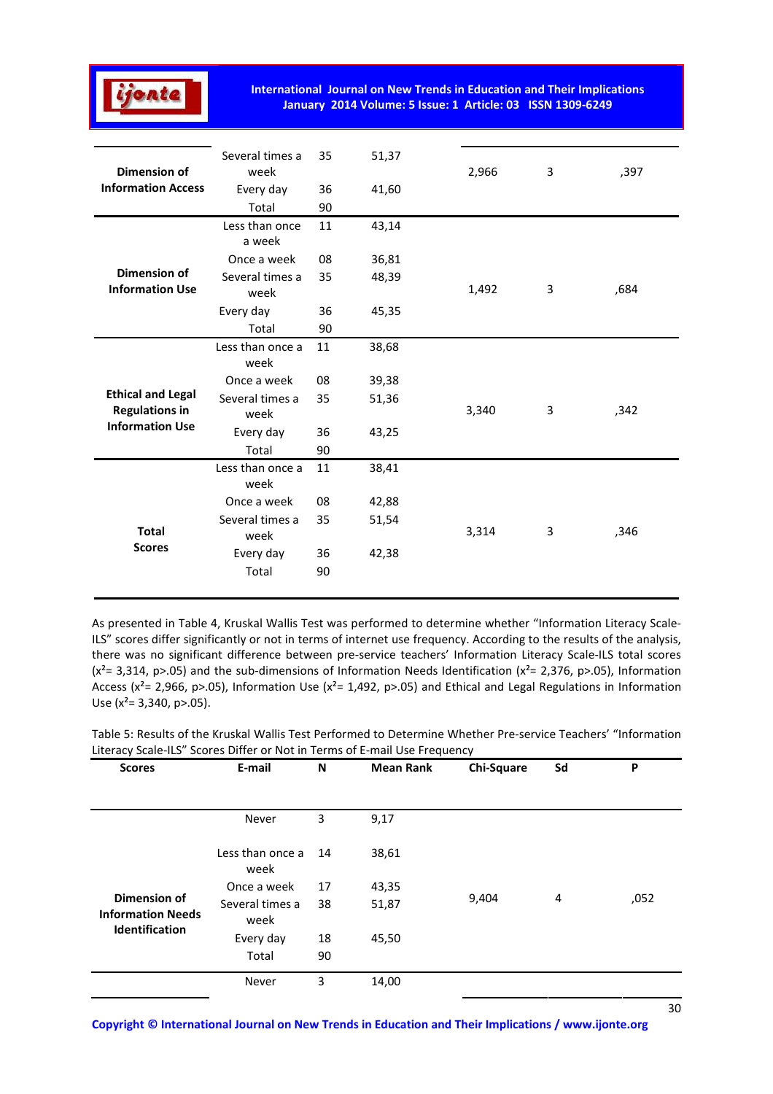

| <b>Dimension of</b>                               | Several times a<br>week  | 35       | 51,37 | 2,966 | 3 | ,397 |
|---------------------------------------------------|--------------------------|----------|-------|-------|---|------|
| <b>Information Access</b>                         | Every day                | 36       | 41,60 |       |   |      |
|                                                   | Total                    | 90       |       |       |   |      |
|                                                   | Less than once<br>a week | 11       | 43,14 |       |   |      |
|                                                   | Once a week              | 08       | 36,81 |       |   |      |
| <b>Dimension of</b><br><b>Information Use</b>     | Several times a<br>week  | 35       | 48,39 | 1,492 | 3 | ,684 |
|                                                   | Every day                | 36       | 45,35 |       |   |      |
|                                                   | Total                    | 90       |       |       |   |      |
|                                                   | Less than once a<br>week | 11       | 38,68 |       |   |      |
|                                                   | Once a week              | 08       | 39,38 |       |   |      |
| <b>Ethical and Legal</b><br><b>Regulations in</b> | Several times a<br>week  | 35       | 51,36 | 3,340 | 3 | ,342 |
| <b>Information Use</b>                            | Every day                | 36       | 43,25 |       |   |      |
|                                                   | Total                    | 90       |       |       |   |      |
|                                                   | Less than once a<br>week | 11       | 38,41 |       |   |      |
|                                                   | Once a week              | 08       | 42,88 |       |   |      |
| <b>Total</b>                                      | Several times a<br>week  | 35       | 51,54 | 3,314 | 3 | ,346 |
| <b>Scores</b>                                     | Every day<br>Total       | 36<br>90 | 42,38 |       |   |      |
|                                                   |                          |          |       |       |   |      |

As presented in Table 4, Kruskal Wallis Test was performed to determine whether "Information Literacy Scale-ILS" scores differ significantly or not in terms of internet use frequency. According to the results of the analysis, there was no significant difference between pre-service teachers' Information Literacy Scale-ILS total scores  $(x^2=3,314, p>05)$  and the sub-dimensions of Information Needs Identification  $(x^2=2,376, p>05)$ , Information Access ( $x^2$  = 2,966, p>.05), Information Use ( $x^2$  = 1,492, p>.05) and Ethical and Legal Regulations in Information Use  $(x^2=3,340, p>0.05)$ .

| <b>Scores</b>                            | E-mail                   | N  | <b>Mean Rank</b> | Chi-Square | Sd | P    |
|------------------------------------------|--------------------------|----|------------------|------------|----|------|
|                                          |                          |    |                  |            |    |      |
|                                          | Never                    | 3  | 9,17             |            |    |      |
|                                          | Less than once a<br>week | 14 | 38,61            |            |    |      |
|                                          | Once a week              | 17 | 43,35            |            | 4  |      |
| Dimension of<br><b>Information Needs</b> | Several times a<br>week  | 38 | 51,87            | 9,404      |    | ,052 |
| <b>Identification</b>                    | Every day                | 18 | 45,50            |            |    |      |
|                                          | Total                    | 90 |                  |            |    |      |
|                                          | Never                    | 3  | 14,00            |            |    |      |

Table 5: Results of the Kruskal Wallis Test Performed to Determine Whether Pre-service Teachers' "Information Literacy Scale-ILS" Scores Differ or Not in Terms of E-mail Use Frequency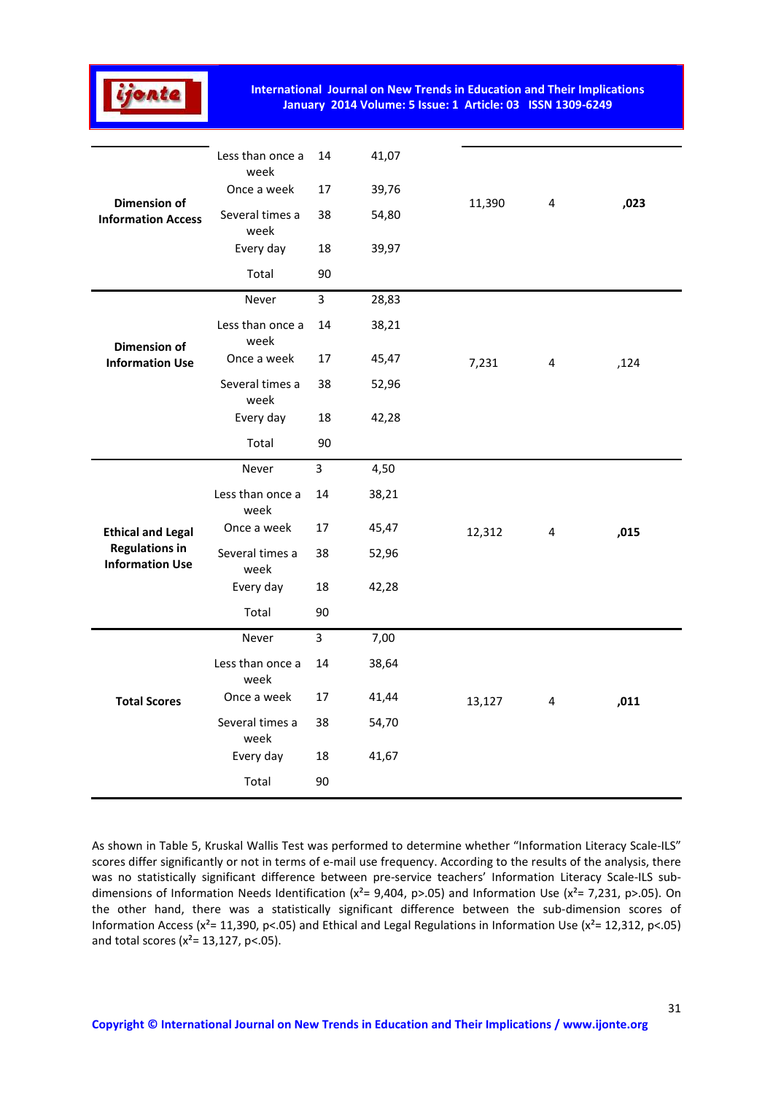

|                                                  | Less than once a<br>week | 14             | 41,07 |        |   |      |
|--------------------------------------------------|--------------------------|----------------|-------|--------|---|------|
|                                                  | Once a week              | 17             | 39,76 |        | 4 |      |
| <b>Dimension of</b><br><b>Information Access</b> | Several times a<br>week  | 38             | 54,80 | 11,390 |   | ,023 |
|                                                  | Every day                | 18             | 39,97 |        |   |      |
|                                                  | Total                    | 90             |       |        |   |      |
| <b>Dimension of</b><br><b>Information Use</b>    | Never                    | $\overline{3}$ | 28,83 |        |   |      |
|                                                  | Less than once a<br>week | 14             | 38,21 |        |   |      |
|                                                  | Once a week              | 17             | 45,47 | 7,231  | 4 | ,124 |
|                                                  | Several times a<br>week  | 38             | 52,96 |        |   |      |
|                                                  | Every day                | 18             | 42,28 |        |   |      |
|                                                  | Total                    | 90             |       |        |   |      |
|                                                  | Never                    | $\overline{3}$ | 4,50  |        |   |      |
|                                                  | Less than once a<br>week | 14             | 38,21 |        |   |      |
| <b>Ethical and Legal</b>                         | Once a week              | 17             | 45,47 | 12,312 | 4 | ,015 |
| <b>Regulations in</b><br><b>Information Use</b>  | Several times a<br>week  | 38             | 52,96 |        |   |      |
|                                                  | Every day                | 18             | 42,28 |        |   |      |
|                                                  | Total                    | 90             |       |        |   |      |
|                                                  | Never                    | $\overline{3}$ | 7,00  |        |   |      |
|                                                  | Less than once a<br>week | 14             | 38,64 |        |   |      |
| <b>Total Scores</b>                              | Once a week              | 17             | 41,44 | 13,127 | 4 | ,011 |
|                                                  | Several times a<br>week  | 38             | 54,70 |        |   |      |
|                                                  | Every day                | 18             | 41,67 |        |   |      |
|                                                  | Total                    | 90             |       |        |   |      |

As shown in Table 5, Kruskal Wallis Test was performed to determine whether "Information Literacy Scale-ILS" scores differ significantly or not in terms of e-mail use frequency. According to the results of the analysis, there was no statistically significant difference between pre-service teachers' Information Literacy Scale-ILS subdimensions of Information Needs Identification ( $x^2 = 9,404$ , p>.05) and Information Use ( $x^2 = 7,231$ , p>.05). On the other hand, there was a statistically significant difference between the sub-dimension scores of Information Access ( $x^2$ = 11,390, p<.05) and Ethical and Legal Regulations in Information Use ( $x^2$ = 12,312, p<.05) and total scores ( $x^2$ = 13,127, p<.05).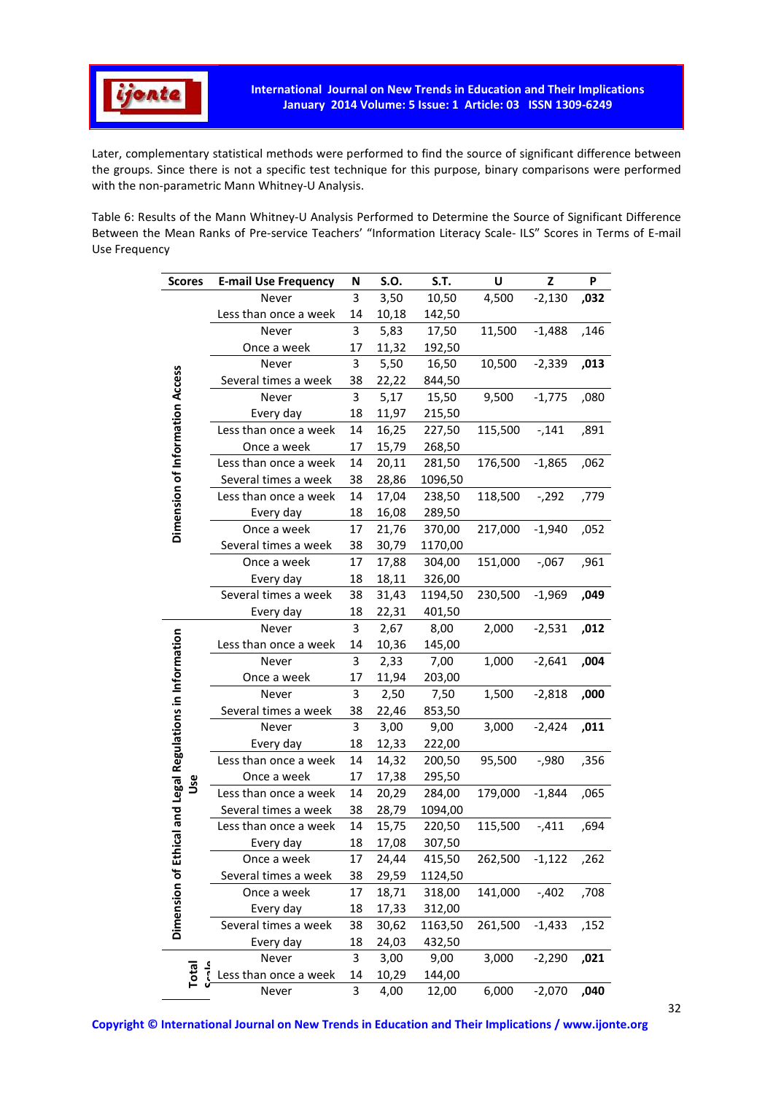

Later, complementary statistical methods were performed to find the source of significant difference between the groups. Since there is not a specific test technique for this purpose, binary comparisons were performed with the non-parametric Mann Whitney-U Analysis.

Table 6: Results of the Mann Whitney-U Analysis Performed to Determine the Source of Significant Difference Between the Mean Ranks of Pre-service Teachers' "Information Literacy Scale- ILS" Scores in Terms of E-mail Use Frequency

|                                            | <b>E-mail Use Frequency</b> |        | S.O.  | S.T.    | U       | Z        | P    |
|--------------------------------------------|-----------------------------|--------|-------|---------|---------|----------|------|
| <b>Scores</b>                              | Never                       | N<br>3 | 3,50  | 10,50   | 4,500   | $-2,130$ | ,032 |
|                                            | Less than once a week       | 14     | 10,18 | 142,50  |         |          |      |
|                                            | Never                       | 3      | 5,83  | 17,50   | 11,500  | $-1,488$ | ,146 |
|                                            | Once a week                 | 17     | 11,32 | 192,50  |         |          |      |
|                                            | Never                       | 3      | 5,50  | 16,50   | 10,500  | $-2,339$ | ,013 |
|                                            | Several times a week        | 38     | 22,22 | 844,50  |         |          |      |
| Dimension of Information Access            | Never                       | 3      | 5,17  | 15,50   | 9,500   | $-1,775$ | ,080 |
|                                            | Every day                   | 18     | 11,97 | 215,50  |         |          |      |
|                                            | Less than once a week       | 14     | 16,25 | 227,50  | 115,500 | $-141$   | ,891 |
|                                            | Once a week                 | 17     | 15,79 | 268,50  |         |          |      |
|                                            | Less than once a week       | 14     | 20,11 | 281,50  | 176,500 | $-1,865$ | ,062 |
|                                            | Several times a week        | 38     | 28,86 | 1096,50 |         |          |      |
|                                            | Less than once a week       | 14     | 17,04 | 238,50  | 118,500 | $-292$   | ,779 |
|                                            | Every day                   | 18     | 16,08 | 289,50  |         |          |      |
|                                            | Once a week                 | 17     | 21,76 | 370,00  | 217,000 | $-1,940$ | ,052 |
|                                            | Several times a week        | 38     | 30,79 | 1170,00 |         |          |      |
|                                            | Once a week                 | 17     | 17,88 | 304,00  | 151,000 | $-0.067$ | ,961 |
|                                            | Every day                   | 18     | 18,11 | 326,00  |         |          |      |
|                                            | Several times a week        | 38     | 31,43 | 1194,50 | 230,500 | $-1,969$ | ,049 |
|                                            | Every day                   | 18     | 22,31 | 401,50  |         |          |      |
|                                            | Never                       | 3      | 2,67  | 8,00    | 2,000   | $-2,531$ | ,012 |
| nical and Legal Regulations in Information | Less than once a week       | 14     | 10,36 | 145,00  |         |          |      |
|                                            | Never                       | 3      | 2,33  | 7,00    | 1,000   | $-2,641$ | ,004 |
|                                            | Once a week                 | 17     | 11,94 | 203,00  |         |          |      |
|                                            | Never                       | 3      | 2,50  | 7,50    | 1,500   | $-2,818$ | ,000 |
|                                            | Several times a week        | 38     | 22,46 | 853,50  |         |          |      |
|                                            | Never                       | 3      | 3,00  | 9,00    | 3,000   | $-2,424$ | ,011 |
|                                            | Every day                   | 18     | 12,33 | 222,00  |         |          |      |
|                                            | Less than once a week       | 14     | 14,32 | 200,50  | 95,500  | $-0.980$ | ,356 |
|                                            | Once a week                 | 17     | 17,38 | 295,50  |         |          |      |
| ٷ                                          | Less than once a week       | 14     | 20,29 | 284,00  | 179,000 | $-1,844$ | ,065 |
|                                            | Several times a week        | 38     | 28,79 | 1094,00 |         |          |      |
|                                            | Less than once a week       | 14     | 15,75 | 220,50  | 115,500 | $-0.411$ | ,694 |
|                                            | Every day                   | 18     | 17,08 | 307,50  |         |          |      |
|                                            | Once a week                 | 17     | 24,44 | 415,50  | 262,500 | $-1,122$ | ,262 |
| Dimension of Etl                           | Several times a week        | 38     | 29,59 | 1124,50 |         |          |      |
|                                            | Once a week                 | 17     | 18,71 | 318,00  | 141,000 | $-402$   | ,708 |
|                                            | Every day                   | 18     | 17,33 | 312,00  |         |          |      |
|                                            | Several times a week        | 38     | 30,62 | 1163,50 | 261,500 | $-1,433$ | ,152 |
|                                            | Every day                   | 18     | 24,03 | 432,50  |         |          |      |
|                                            | Never                       | 3      | 3,00  | 9,00    | 3,000   | $-2,290$ | ,021 |
| $\frac{a}{2}$<br>Total                     | Less than once a week       | 14     | 10,29 | 144,00  |         |          |      |
|                                            | Never                       | 3      | 4,00  | 12,00   | 6,000   | $-2,070$ | ,040 |
|                                            |                             |        |       |         |         |          |      |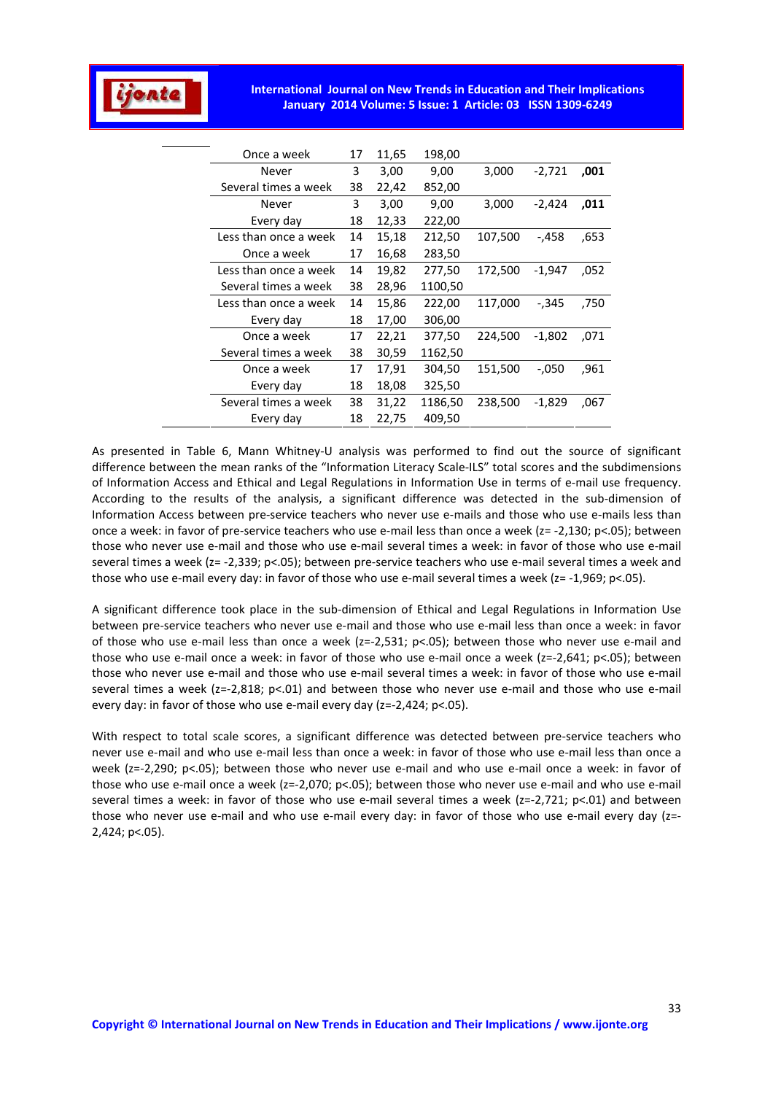

| Once a week           | 17 | 11,65 | 198,00  |         |          |      |
|-----------------------|----|-------|---------|---------|----------|------|
| Never                 | 3  | 3,00  | 9,00    | 3,000   | $-2,721$ | ,001 |
| Several times a week  | 38 | 22,42 | 852,00  |         |          |      |
| Never                 | 3  | 3,00  | 9,00    | 3,000   | $-2,424$ | ,011 |
| Every day             | 18 | 12,33 | 222,00  |         |          |      |
| Less than once a week | 14 | 15,18 | 212,50  | 107,500 | -,458    | .653 |
| Once a week           | 17 | 16,68 | 283,50  |         |          |      |
| Less than once a week | 14 | 19,82 | 277,50  | 172,500 | $-1,947$ | ,052 |
| Several times a week  | 38 | 28,96 | 1100,50 |         |          |      |
| Less than once a week | 14 | 15,86 | 222,00  | 117,000 | -,345    | ,750 |
| Every day             | 18 | 17,00 | 306,00  |         |          |      |
| Once a week           | 17 | 22,21 | 377,50  | 224,500 | $-1,802$ | ,071 |
| Several times a week  | 38 | 30,59 | 1162,50 |         |          |      |
| Once a week           | 17 | 17,91 | 304,50  | 151,500 | $-.050$  | .961 |
| Every day             | 18 | 18,08 | 325,50  |         |          |      |
| Several times a week  | 38 | 31,22 | 1186,50 | 238,500 | $-1,829$ | ,067 |
| Every day             | 18 | 22,75 | 409,50  |         |          |      |

As presented in Table 6, Mann Whitney-U analysis was performed to find out the source of significant difference between the mean ranks of the "Information Literacy Scale-ILS" total scores and the subdimensions of Information Access and Ethical and Legal Regulations in Information Use in terms of e-mail use frequency. According to the results of the analysis, a significant difference was detected in the sub-dimension of Information Access between pre-service teachers who never use e-mails and those who use e-mails less than once a week: in favor of pre-service teachers who use e-mail less than once a week (z= -2,130; p<.05); between those who never use e-mail and those who use e-mail several times a week: in favor of those who use e-mail several times a week (z= -2,339; p<.05); between pre-service teachers who use e-mail several times a week and those who use e-mail every day: in favor of those who use e-mail several times a week (z= -1,969; p<.05).

A significant difference took place in the sub-dimension of Ethical and Legal Regulations in Information Use between pre-service teachers who never use e-mail and those who use e-mail less than once a week: in favor of those who use e-mail less than once a week (z=-2,531; p<.05); between those who never use e-mail and those who use e-mail once a week: in favor of those who use e-mail once a week ( $z=-2,641$ ;  $p<.05$ ); between those who never use e-mail and those who use e-mail several times a week: in favor of those who use e-mail several times a week (z=-2,818; p<.01) and between those who never use e-mail and those who use e-mail every day: in favor of those who use e-mail every day (z=-2,424; p<.05).

With respect to total scale scores, a significant difference was detected between pre-service teachers who never use e-mail and who use e-mail less than once a week: in favor of those who use e-mail less than once a week (z=-2,290; p<.05); between those who never use e-mail and who use e-mail once a week: in favor of those who use e-mail once a week (z=-2,070; p<.05); between those who never use e-mail and who use e-mail several times a week: in favor of those who use e-mail several times a week (z=-2,721; p<.01) and between those who never use e-mail and who use e-mail every day: in favor of those who use e-mail every day (z=- 2,424; p<.05).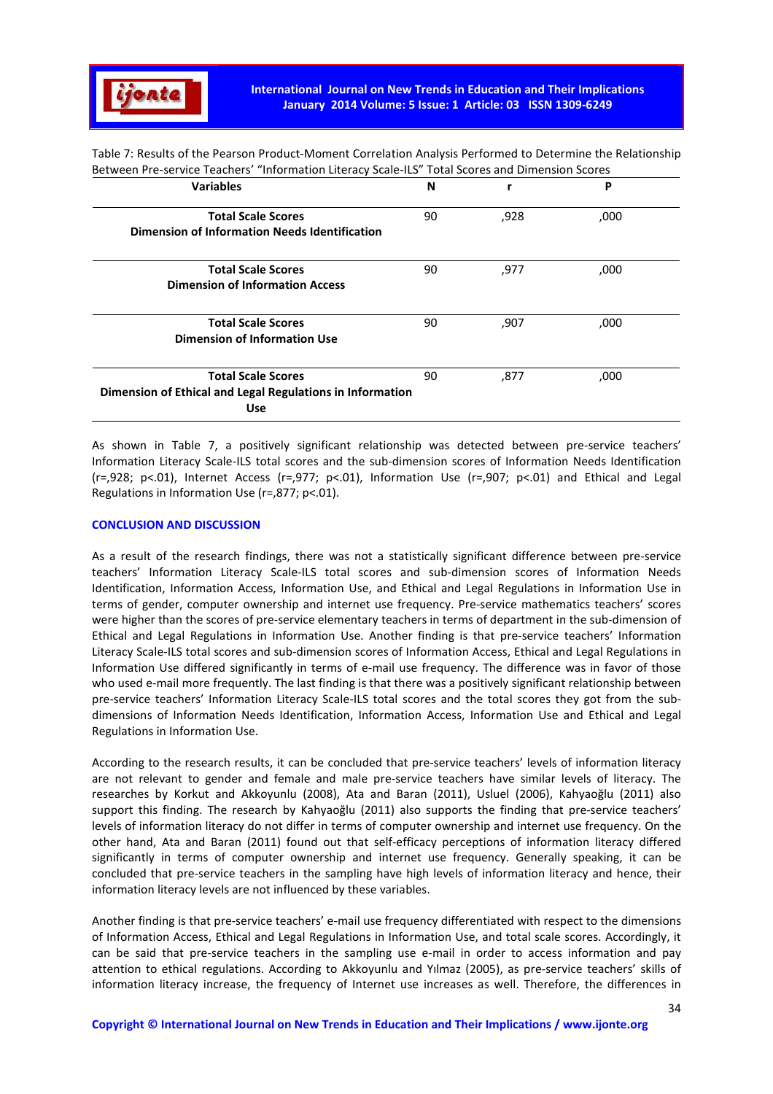

Table 7: Results of the Pearson Product-Moment Correlation Analysis Performed to Determine the Relationship Between Pre-service Teachers' "Information Literacy Scale-ILS" Total Scores and Dimension Scores

| <b>Variables</b>                                                                                     | N  |      | P    |  |
|------------------------------------------------------------------------------------------------------|----|------|------|--|
| <b>Total Scale Scores</b><br>Dimension of Information Needs Identification                           | 90 | ,928 | ,000 |  |
| <b>Total Scale Scores</b><br><b>Dimension of Information Access</b>                                  | 90 | ,977 | ,000 |  |
| <b>Total Scale Scores</b><br>Dimension of Information Use                                            | 90 | ,907 | ,000 |  |
| <b>Total Scale Scores</b><br>Dimension of Ethical and Legal Regulations in Information<br><b>Use</b> | 90 | ,877 | ,000 |  |

As shown in Table 7, a positively significant relationship was detected between pre-service teachers' Information Literacy Scale-ILS total scores and the sub-dimension scores of Information Needs Identification (r=,928; p<.01), Internet Access (r=,977; p<.01), Information Use (r=,907; p<.01) and Ethical and Legal Regulations in Information Use (r=,877; p<.01).

#### **CONCLUSION AND DISCUSSION**

As a result of the research findings, there was not a statistically significant difference between pre-service teachers' Information Literacy Scale-ILS total scores and sub-dimension scores of Information Needs Identification, Information Access, Information Use, and Ethical and Legal Regulations in Information Use in terms of gender, computer ownership and internet use frequency. Pre-service mathematics teachers' scores were higher than the scores of pre-service elementary teachers in terms of department in the sub-dimension of Ethical and Legal Regulations in Information Use. Another finding is that pre-service teachers' Information Literacy Scale-ILS total scores and sub-dimension scores of Information Access, Ethical and Legal Regulations in Information Use differed significantly in terms of e-mail use frequency. The difference was in favor of those who used e-mail more frequently. The last finding is that there was a positively significant relationship between pre-service teachers' Information Literacy Scale-ILS total scores and the total scores they got from the subdimensions of Information Needs Identification, Information Access, Information Use and Ethical and Legal Regulations in Information Use.

According to the research results, it can be concluded that pre-service teachers' levels of information literacy are not relevant to gender and female and male pre-service teachers have similar levels of literacy. The researches by Korkut and Akkoyunlu (2008), Ata and Baran (2011), Usluel (2006), Kahyaoğlu (2011) also support this finding. The research by Kahyaoğlu (2011) also supports the finding that pre-service teachers' levels of information literacy do not differ in terms of computer ownership and internet use frequency. On the other hand, Ata and Baran (2011) found out that self-efficacy perceptions of information literacy differed significantly in terms of computer ownership and internet use frequency. Generally speaking, it can be concluded that pre-service teachers in the sampling have high levels of information literacy and hence, their information literacy levels are not influenced by these variables.

Another finding is that pre-service teachers' e-mail use frequency differentiated with respect to the dimensions of Information Access, Ethical and Legal Regulations in Information Use, and total scale scores. Accordingly, it can be said that pre-service teachers in the sampling use e-mail in order to access information and pay attention to ethical regulations. According to Akkoyunlu and Yılmaz (2005), as pre-service teachers' skills of information literacy increase, the frequency of Internet use increases as well. Therefore, the differences in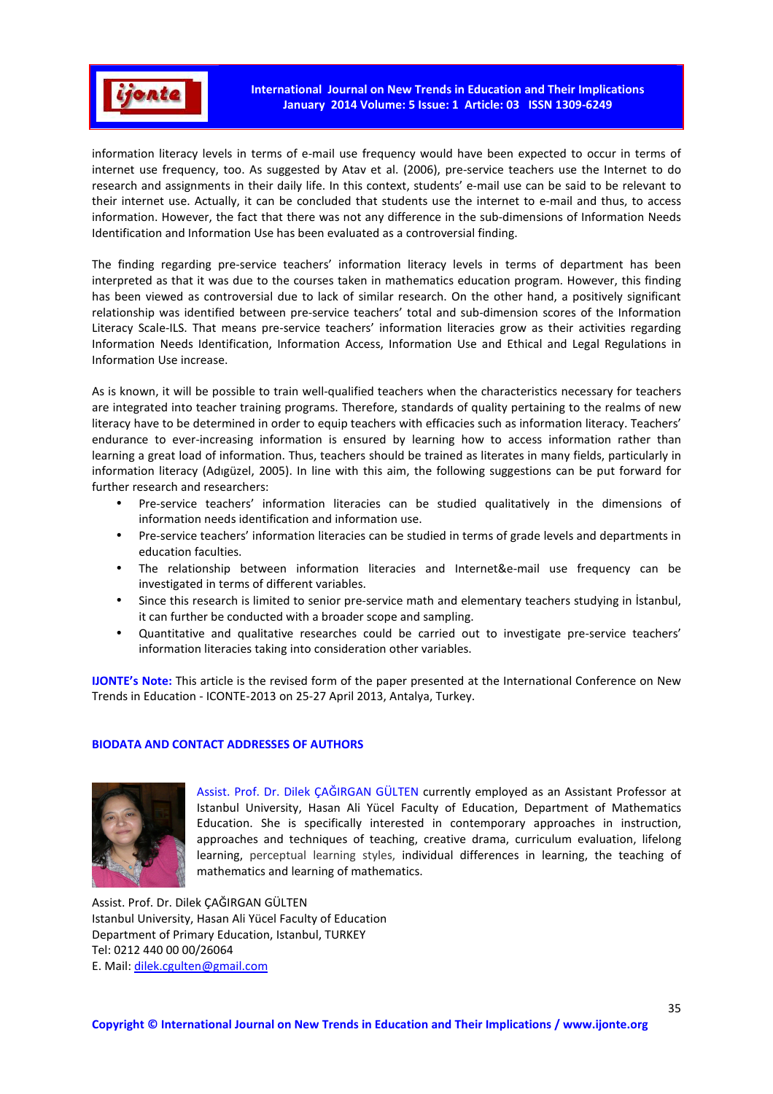

information literacy levels in terms of e-mail use frequency would have been expected to occur in terms of internet use frequency, too. As suggested by Atav et al. (2006), pre-service teachers use the Internet to do research and assignments in their daily life. In this context, students' e-mail use can be said to be relevant to their internet use. Actually, it can be concluded that students use the internet to e-mail and thus, to access information. However, the fact that there was not any difference in the sub-dimensions of Information Needs Identification and Information Use has been evaluated as a controversial finding.

The finding regarding pre-service teachers' information literacy levels in terms of department has been interpreted as that it was due to the courses taken in mathematics education program. However, this finding has been viewed as controversial due to lack of similar research. On the other hand, a positively significant relationship was identified between pre-service teachers' total and sub-dimension scores of the Information Literacy Scale-ILS. That means pre-service teachers' information literacies grow as their activities regarding Information Needs Identification, Information Access, Information Use and Ethical and Legal Regulations in Information Use increase.

As is known, it will be possible to train well-qualified teachers when the characteristics necessary for teachers are integrated into teacher training programs. Therefore, standards of quality pertaining to the realms of new literacy have to be determined in order to equip teachers with efficacies such as information literacy. Teachers' endurance to ever-increasing information is ensured by learning how to access information rather than learning a great load of information. Thus, teachers should be trained as literates in many fields, particularly in information literacy (Adıgüzel, 2005). In line with this aim, the following suggestions can be put forward for further research and researchers:

- Pre-service teachers' information literacies can be studied qualitatively in the dimensions of information needs identification and information use.
- Pre-service teachers' information literacies can be studied in terms of grade levels and departments in education faculties.
- The relationship between information literacies and Internet&e-mail use frequency can be investigated in terms of different variables.
- Since this research is limited to senior pre-service math and elementary teachers studying in İstanbul, it can further be conducted with a broader scope and sampling.
- Quantitative and qualitative researches could be carried out to investigate pre-service teachers' information literacies taking into consideration other variables.

**IJONTE's Note:** This article is the revised form of the paper presented at the International Conference on New Trends in Education - ICONTE-2013 on 25-27 April 2013, Antalya, Turkey.

## **BIODATA AND CONTACT ADDRESSES OF AUTHORS**



Assist. Prof. Dr. Dilek ÇAĞIRGAN GÜLTEN currently employed as an Assistant Professor at Istanbul University, Hasan Ali Yücel Faculty of Education, Department of Mathematics Education. She is specifically interested in contemporary approaches in instruction, approaches and techniques of teaching, creative drama, curriculum evaluation, lifelong learning, perceptual learning styles, individual differences in learning, the teaching of mathematics and learning of mathematics.

Assist. Prof. Dr. Dilek ÇAĞIRGAN GÜLTEN Istanbul University, Hasan Ali Yücel Faculty of Education Department of Primary Education, Istanbul, TURKEY Tel: 0212 440 00 00/26064 E. Mail: dilek.cgulten@gmail.com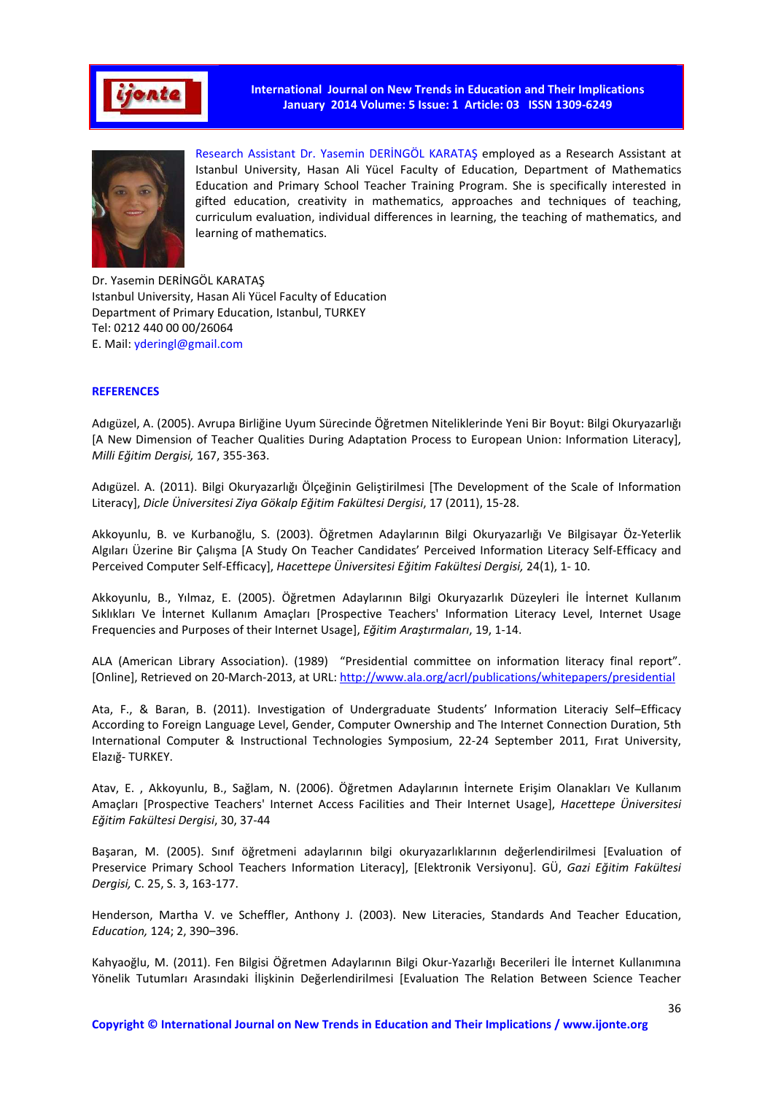



Research Assistant Dr. Yasemin DERİNGÖL KARATAŞ employed as a Research Assistant at Istanbul University, Hasan Ali Yücel Faculty of Education, Department of Mathematics Education and Primary School Teacher Training Program. She is specifically interested in gifted education, creativity in mathematics, approaches and techniques of teaching, curriculum evaluation, individual differences in learning, the teaching of mathematics, and learning of mathematics.

Dr. Yasemin DERİNGÖL KARATAŞ Istanbul University, Hasan Ali Yücel Faculty of Education Department of Primary Education, Istanbul, TURKEY Tel: 0212 440 00 00/26064 E. Mail: yderingl@gmail.com

#### **REFERENCES**

Adıgüzel, A. (2005). Avrupa Birliğine Uyum Sürecinde Öğretmen Niteliklerinde Yeni Bir Boyut: Bilgi Okuryazarlığı [A New Dimension of Teacher Qualities During Adaptation Process to European Union: Information Literacy], *Milli Eğitim Dergisi,* 167, 355-363.

Adıgüzel. A. (2011). Bilgi Okuryazarlığı Ölçeğinin Geliştirilmesi [The Development of the Scale of Information Literacy], *Dicle Üniversitesi Ziya Gökalp Eğitim Fakültesi Dergisi*, 17 (2011), 15-28.

Akkoyunlu, B. ve Kurbanoğlu, S. (2003). Öğretmen Adaylarının Bilgi Okuryazarlığı Ve Bilgisayar Öz-Yeterlik Algıları Üzerine Bir Çalışma [A Study On Teacher Candidates' Perceived Information Literacy Self-Efficacy and Perceived Computer Self-Efficacy], *Hacettepe Üniversitesi Eğitim Fakültesi Dergisi,* 24(1), 1- 10.

Akkoyunlu, B., Yılmaz, E. (2005). Öğretmen Adaylarının Bilgi Okuryazarlık Düzeyleri İle İnternet Kullanım Sıklıkları Ve İnternet Kullanım Amaçları [Prospective Teachers' Information Literacy Level, Internet Usage Frequencies and Purposes of their Internet Usage], *Eğitim Araştırmaları*, 19, 1-14.

ALA (American Library Association). (1989) "Presidential committee on information literacy final report". [Online], Retrieved on 20-March-2013, at URL: http://www.ala.org/acrl/publications/whitepapers/presidential

Ata, F., & Baran, B. (2011). Investigation of Undergraduate Students' Information Literaciy Self–Efficacy According to Foreign Language Level, Gender, Computer Ownership and The Internet Connection Duration, 5th International Computer & Instructional Technologies Symposium, 22-24 September 2011, Fırat University, Elazığ- TURKEY.

Atav, E. , Akkoyunlu, B., Sağlam, N. (2006). Öğretmen Adaylarının İnternete Erişim Olanakları Ve Kullanım Amaçları [Prospective Teachers' Internet Access Facilities and Their Internet Usage], *Hacettepe Üniversitesi Eğitim Fakültesi Dergisi*, 30, 37-44

Başaran, M. (2005). Sınıf öğretmeni adaylarının bilgi okuryazarlıklarının değerlendirilmesi [Evaluation of Preservice Primary School Teachers Information Literacy], [Elektronik Versiyonu]. GÜ, *Gazi Eğitim Fakültesi Dergisi,* C. 25, S. 3, 163-177.

Henderson, Martha V. ve Scheffler, Anthony J. (2003). New Literacies, Standards And Teacher Education, *Education,* 124; 2, 390–396.

Kahyaoğlu, M. (2011). Fen Bilgisi Öğretmen Adaylarının Bilgi Okur-Yazarlığı Becerileri İle İnternet Kullanımına Yönelik Tutumları Arasındaki İlişkinin Değerlendirilmesi [Evaluation The Relation Between Science Teacher